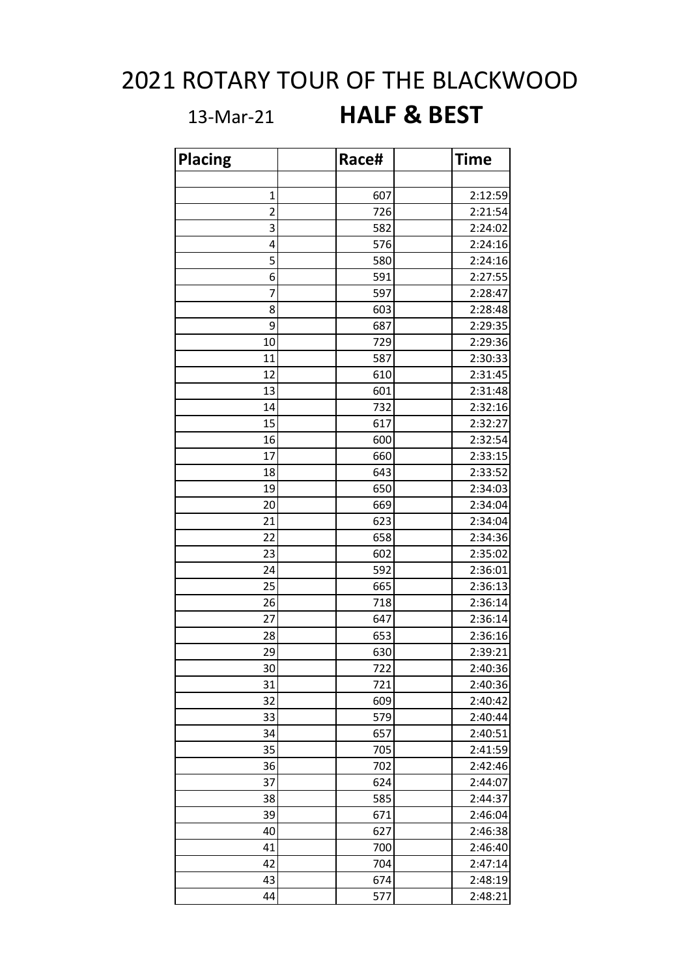## 2021 ROTARY TOUR OF THE BLACKWOOD

## 13-Mar-21 **HALF & BEST**

| <b>Placing</b> | Race# | <b>Time</b> |
|----------------|-------|-------------|
|                |       |             |
| 1              | 607   | 2:12:59     |
| $\overline{2}$ | 726   | 2:21:54     |
| 3              | 582   | 2:24:02     |
| 4              | 576   | 2:24:16     |
| 5              | 580   | 2:24:16     |
| 6              | 591   | 2:27:55     |
| 7              | 597   | 2:28:47     |
| 8              | 603   | 2:28:48     |
| 9              | 687   | 2:29:35     |
| 10             | 729   | 2:29:36     |
| 11             | 587   | 2:30:33     |
| 12             | 610   | 2:31:45     |
| 13             | 601   | 2:31:48     |
| 14             | 732   | 2:32:16     |
| 15             | 617   | 2:32:27     |
| 16             | 600   | 2:32:54     |
| 17             | 660   | 2:33:15     |
| 18             | 643   | 2:33:52     |
| 19             | 650   | 2:34:03     |
| 20             | 669   | 2:34:04     |
| 21             | 623   | 2:34:04     |
| 22             | 658   | 2:34:36     |
| 23             | 602   | 2:35:02     |
| 24             | 592   | 2:36:01     |
| 25             | 665   | 2:36:13     |
| 26             | 718   | 2:36:14     |
| 27             | 647   | 2:36:14     |
| 28             | 653   | 2:36:16     |
| 29             | 630   | 2:39:21     |
| 30             | 722   | 2:40:36     |
| 31             | 721   | 2:40:36     |
| 32             | 609   | 2:40:42     |
| 33             | 579   | 2:40:44     |
| 34             | 657   | 2:40:51     |
| 35             | 705   | 2:41:59     |
| 36             | 702   | 2:42:46     |
| 37             | 624   | 2:44:07     |
| 38             | 585   | 2:44:37     |
| 39             | 671   | 2:46:04     |
| 40             | 627   | 2:46:38     |
| 41             | 700   | 2:46:40     |
| 42             | 704   | 2:47:14     |
| 43             | 674   | 2:48:19     |
| 44             | 577   | 2:48:21     |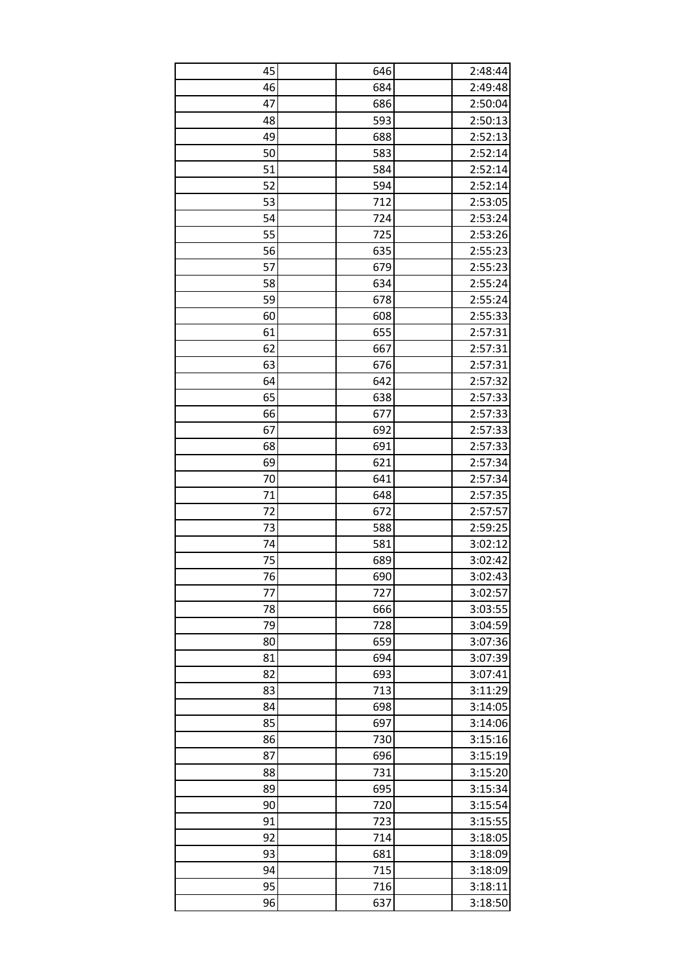| 45 | 646 | 2:48:44            |
|----|-----|--------------------|
| 46 | 684 | 2:49:48            |
| 47 | 686 | 2:50:04            |
| 48 | 593 | 2:50:13            |
| 49 | 688 | 2:52:13            |
| 50 | 583 | 2:52:14            |
| 51 | 584 | 2:52:14            |
| 52 | 594 | 2:52:14            |
| 53 | 712 | 2:53:05            |
| 54 | 724 | 2:53:24            |
| 55 | 725 | 2:53:26            |
| 56 | 635 | 2:55:23            |
| 57 | 679 | 2:55:23            |
| 58 | 634 | 2:55:24            |
| 59 | 678 | 2:55:24            |
| 60 | 608 | 2:55:33            |
| 61 | 655 | 2:57:31            |
| 62 | 667 | 2:57:31            |
| 63 | 676 | 2:57:31            |
| 64 | 642 | 2:57:32            |
| 65 | 638 | 2:57:33            |
| 66 | 677 | 2:57:33            |
| 67 | 692 | 2:57:33            |
| 68 | 691 | 2:57:33            |
| 69 | 621 | 2:57:34            |
| 70 | 641 | 2:57:34            |
| 71 | 648 | 2:57:35            |
| 72 | 672 | 2:57:57            |
| 73 | 588 | 2:59:25            |
| 74 | 581 | 3:02:12            |
| 75 | 689 | 3:02:42            |
| 76 | 690 | 3:02:43            |
| 77 | 727 | 3:02:57            |
| 78 | 666 | 3:03:55            |
| 79 | 728 | 3:04:59            |
| 80 | 659 | 3:07:36            |
| 81 | 694 |                    |
| 82 | 693 | 3:07:39<br>3:07:41 |
| 83 | 713 |                    |
| 84 | 698 | 3:11:29            |
|    |     | 3:14:05            |
| 85 | 697 | 3:14:06            |
| 86 | 730 | 3:15:16            |
| 87 | 696 | 3:15:19            |
| 88 | 731 | 3:15:20            |
| 89 | 695 | 3:15:34            |
| 90 | 720 | 3:15:54            |
| 91 | 723 | 3:15:55            |
| 92 | 714 | 3:18:05            |
| 93 | 681 | 3:18:09            |
| 94 | 715 | 3:18:09            |
| 95 | 716 | 3:18:11            |
| 96 | 637 | 3:18:50            |